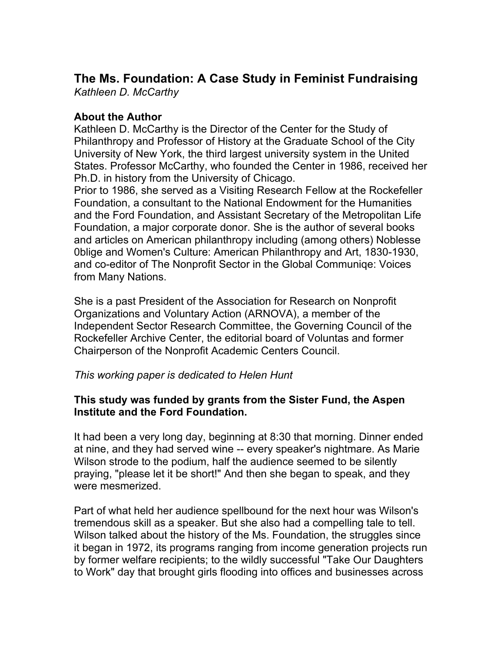# **The Ms. Foundation: A Case Study in Feminist Fundraising** *Kathleen D. McCarthy*

# **About the Author**

Kathleen D. McCarthy is the Director of the Center for the Study of Philanthropy and Professor of History at the Graduate School of the City University of New York, the third largest university system in the United States. Professor McCarthy, who founded the Center in 1986, received her Ph.D. in history from the University of Chicago.

Prior to 1986, she served as a Visiting Research Fellow at the Rockefeller Foundation, a consultant to the National Endowment for the Humanities and the Ford Foundation, and Assistant Secretary of the Metropolitan Life Foundation, a major corporate donor. She is the author of several books and articles on American philanthropy including (among others) Noblesse 0blige and Women's Culture: American Philanthropy and Art, 1830-1930, and co-editor of The Nonprofit Sector in the Global Communiqe: Voices from Many Nations.

She is a past President of the Association for Research on Nonprofit Organizations and Voluntary Action (ARNOVA), a member of the Independent Sector Research Committee, the Governing Council of the Rockefeller Archive Center, the editorial board of Voluntas and former Chairperson of the Nonprofit Academic Centers Council.

### *This working paper is dedicated to Helen Hunt*

# **This study was funded by grants from the Sister Fund, the Aspen Institute and the Ford Foundation.**

It had been a very long day, beginning at 8:30 that morning. Dinner ended at nine, and they had served wine -- every speaker's nightmare. As Marie Wilson strode to the podium, half the audience seemed to be silently praying, "please let it be short!" And then she began to speak, and they were mesmerized.

Part of what held her audience spellbound for the next hour was Wilson's tremendous skill as a speaker. But she also had a compelling tale to tell. Wilson talked about the history of the Ms. Foundation, the struggles since it began in 1972, its programs ranging from income generation projects run by former welfare recipients; to the wildly successful "Take Our Daughters to Work" day that brought girls flooding into offices and businesses across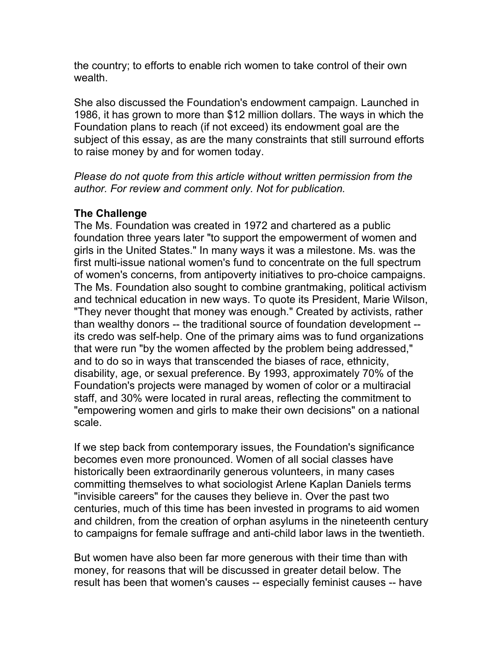the country; to efforts to enable rich women to take control of their own wealth.

She also discussed the Foundation's endowment campaign. Launched in 1986, it has grown to more than \$12 million dollars. The ways in which the Foundation plans to reach (if not exceed) its endowment goal are the subject of this essay, as are the many constraints that still surround efforts to raise money by and for women today.

*Please do not quote from this article without written permission from the author. For review and comment only. Not for publication.*

# **The Challenge**

The Ms. Foundation was created in 1972 and chartered as a public foundation three years later "to support the empowerment of women and girls in the United States." In many ways it was a milestone. Ms. was the first multi-issue national women's fund to concentrate on the full spectrum of women's concerns, from antipoverty initiatives to pro-choice campaigns. The Ms. Foundation also sought to combine grantmaking, political activism and technical education in new ways. To quote its President, Marie Wilson, "They never thought that money was enough." Created by activists, rather than wealthy donors -- the traditional source of foundation development - its credo was self-help. One of the primary aims was to fund organizations that were run "by the women affected by the problem being addressed," and to do so in ways that transcended the biases of race, ethnicity, disability, age, or sexual preference. By 1993, approximately 70% of the Foundation's projects were managed by women of color or a multiracial staff, and 30% were located in rural areas, reflecting the commitment to "empowering women and girls to make their own decisions" on a national scale.

If we step back from contemporary issues, the Foundation's significance becomes even more pronounced. Women of all social classes have historically been extraordinarily generous volunteers, in many cases committing themselves to what sociologist Arlene Kaplan Daniels terms "invisible careers" for the causes they believe in. Over the past two centuries, much of this time has been invested in programs to aid women and children, from the creation of orphan asylums in the nineteenth century to campaigns for female suffrage and anti-child labor laws in the twentieth.

But women have also been far more generous with their time than with money, for reasons that will be discussed in greater detail below. The result has been that women's causes -- especially feminist causes -- have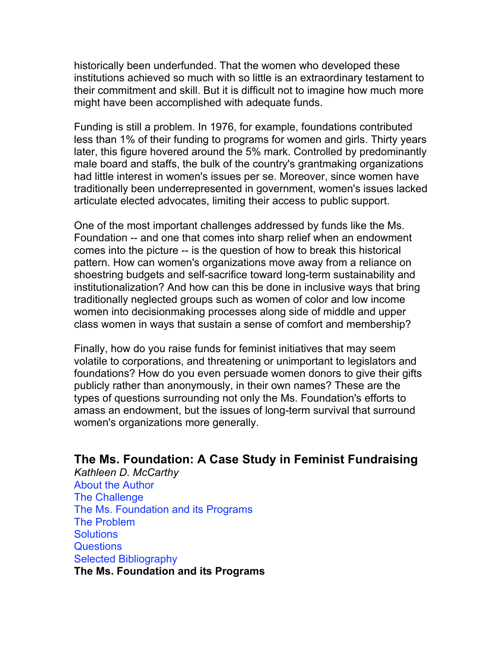historically been underfunded. That the women who developed these institutions achieved so much with so little is an extraordinary testament to their commitment and skill. But it is difficult not to imagine how much more might have been accomplished with adequate funds.

Funding is still a problem. In 1976, for example, foundations contributed less than 1% of their funding to programs for women and girls. Thirty years later, this figure hovered around the 5% mark. Controlled by predominantly male board and staffs, the bulk of the country's grantmaking organizations had little interest in women's issues per se. Moreover, since women have traditionally been underrepresented in government, women's issues lacked articulate elected advocates, limiting their access to public support.

One of the most important challenges addressed by funds like the Ms. Foundation -- and one that comes into sharp relief when an endowment comes into the picture -- is the question of how to break this historical pattern. How can women's organizations move away from a reliance on shoestring budgets and self-sacrifice toward long-term sustainability and institutionalization? And how can this be done in inclusive ways that bring traditionally neglected groups such as women of color and low income women into decisionmaking processes along side of middle and upper class women in ways that sustain a sense of comfort and membership?

Finally, how do you raise funds for feminist initiatives that may seem volatile to corporations, and threatening or unimportant to legislators and foundations? How do you even persuade women donors to give their gifts publicly rather than anonymously, in their own names? These are the types of questions surrounding not only the Ms. Foundation's efforts to amass an endowment, but the issues of long-term survival that surround women's organizations more generally.

# **The Ms. Foundation: A Case Study in Feminist Fundraising**

*Kathleen D. McCarthy* About the Author The Challenge The Ms. Foundation and its Programs The Problem **Solutions** Questions Selected Bibliography **The Ms. Foundation and its Programs**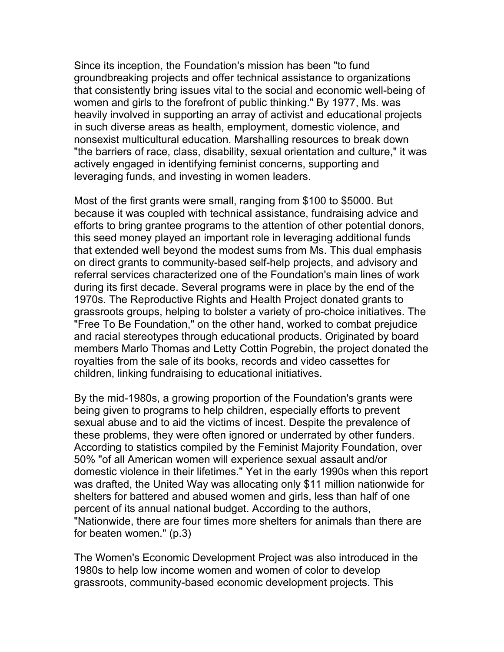Since its inception, the Foundation's mission has been "to fund groundbreaking projects and offer technical assistance to organizations that consistently bring issues vital to the social and economic well-being of women and girls to the forefront of public thinking." By 1977, Ms. was heavily involved in supporting an array of activist and educational projects in such diverse areas as health, employment, domestic violence, and nonsexist multicultural education. Marshalling resources to break down "the barriers of race, class, disability, sexual orientation and culture," it was actively engaged in identifying feminist concerns, supporting and leveraging funds, and investing in women leaders.

Most of the first grants were small, ranging from \$100 to \$5000. But because it was coupled with technical assistance, fundraising advice and efforts to bring grantee programs to the attention of other potential donors, this seed money played an important role in leveraging additional funds that extended well beyond the modest sums from Ms. This dual emphasis on direct grants to community-based self-help projects, and advisory and referral services characterized one of the Foundation's main lines of work during its first decade. Several programs were in place by the end of the 1970s. The Reproductive Rights and Health Project donated grants to grassroots groups, helping to bolster a variety of pro-choice initiatives. The "Free To Be Foundation," on the other hand, worked to combat prejudice and racial stereotypes through educational products. Originated by board members Marlo Thomas and Letty Cottin Pogrebin, the project donated the royalties from the sale of its books, records and video cassettes for children, linking fundraising to educational initiatives.

By the mid-1980s, a growing proportion of the Foundation's grants were being given to programs to help children, especially efforts to prevent sexual abuse and to aid the victims of incest. Despite the prevalence of these problems, they were often ignored or underrated by other funders. According to statistics compiled by the Feminist Majority Foundation, over 50% "of all American women will experience sexual assault and/or domestic violence in their lifetimes." Yet in the early 1990s when this report was drafted, the United Way was allocating only \$11 million nationwide for shelters for battered and abused women and girls, less than half of one percent of its annual national budget. According to the authors, "Nationwide, there are four times more shelters for animals than there are for beaten women." (p.3)

The Women's Economic Development Project was also introduced in the 1980s to help low income women and women of color to develop grassroots, community-based economic development projects. This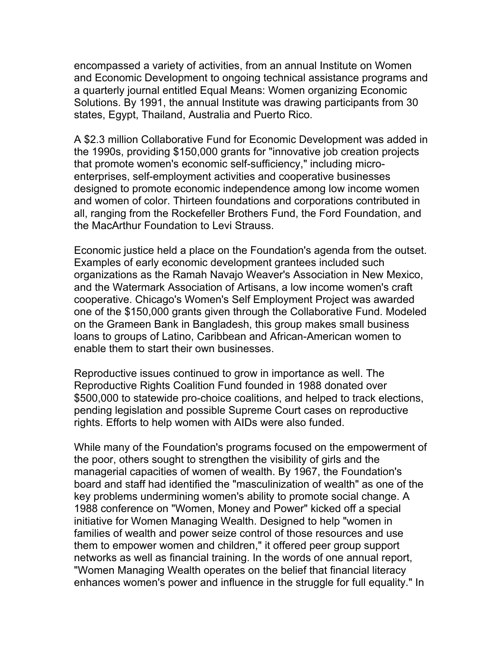encompassed a variety of activities, from an annual Institute on Women and Economic Development to ongoing technical assistance programs and a quarterly journal entitled Equal Means: Women organizing Economic Solutions. By 1991, the annual Institute was drawing participants from 30 states, Egypt, Thailand, Australia and Puerto Rico.

A \$2.3 million Collaborative Fund for Economic Development was added in the 1990s, providing \$150,000 grants for "innovative job creation projects that promote women's economic self-sufficiency," including microenterprises, self-employment activities and cooperative businesses designed to promote economic independence among low income women and women of color. Thirteen foundations and corporations contributed in all, ranging from the Rockefeller Brothers Fund, the Ford Foundation, and the MacArthur Foundation to Levi Strauss.

Economic justice held a place on the Foundation's agenda from the outset. Examples of early economic development grantees included such organizations as the Ramah Navajo Weaver's Association in New Mexico, and the Watermark Association of Artisans, a low income women's craft cooperative. Chicago's Women's Self Employment Project was awarded one of the \$150,000 grants given through the Collaborative Fund. Modeled on the Grameen Bank in Bangladesh, this group makes small business loans to groups of Latino, Caribbean and African-American women to enable them to start their own businesses.

Reproductive issues continued to grow in importance as well. The Reproductive Rights Coalition Fund founded in 1988 donated over \$500,000 to statewide pro-choice coalitions, and helped to track elections, pending legislation and possible Supreme Court cases on reproductive rights. Efforts to help women with AIDs were also funded.

While many of the Foundation's programs focused on the empowerment of the poor, others sought to strengthen the visibility of girls and the managerial capacities of women of wealth. By 1967, the Foundation's board and staff had identified the "masculinization of wealth" as one of the key problems undermining women's ability to promote social change. A 1988 conference on "Women, Money and Power" kicked off a special initiative for Women Managing Wealth. Designed to help "women in families of wealth and power seize control of those resources and use them to empower women and children," it offered peer group support networks as well as financial training. In the words of one annual report, "Women Managing Wealth operates on the belief that financial literacy enhances women's power and influence in the struggle for full equality." In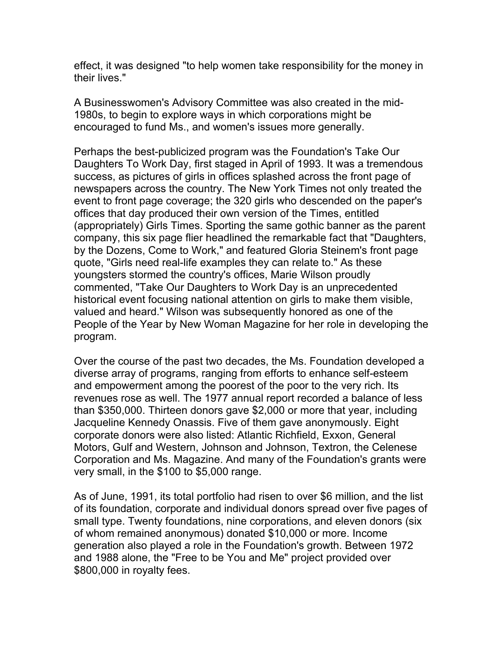effect, it was designed "to help women take responsibility for the money in their lives."

A Businesswomen's Advisory Committee was also created in the mid-1980s, to begin to explore ways in which corporations might be encouraged to fund Ms., and women's issues more generally.

Perhaps the best-publicized program was the Foundation's Take Our Daughters To Work Day, first staged in April of 1993. It was a tremendous success, as pictures of girls in offices splashed across the front page of newspapers across the country. The New York Times not only treated the event to front page coverage; the 320 girls who descended on the paper's offices that day produced their own version of the Times, entitled (appropriately) Girls Times. Sporting the same gothic banner as the parent company, this six page flier headlined the remarkable fact that "Daughters, by the Dozens, Come to Work," and featured Gloria Steinem's front page quote, "Girls need real-life examples they can relate to." As these youngsters stormed the country's offices, Marie Wilson proudly commented, "Take Our Daughters to Work Day is an unprecedented historical event focusing national attention on girls to make them visible, valued and heard." Wilson was subsequently honored as one of the People of the Year by New Woman Magazine for her role in developing the program.

Over the course of the past two decades, the Ms. Foundation developed a diverse array of programs, ranging from efforts to enhance self-esteem and empowerment among the poorest of the poor to the very rich. Its revenues rose as well. The 1977 annual report recorded a balance of less than \$350,000. Thirteen donors gave \$2,000 or more that year, including Jacqueline Kennedy Onassis. Five of them gave anonymously. Eight corporate donors were also listed: Atlantic Richfield, Exxon, General Motors, Gulf and Western, Johnson and Johnson, Textron, the Celenese Corporation and Ms. Magazine. And many of the Foundation's grants were very small, in the \$100 to \$5,000 range.

As of June, 1991, its total portfolio had risen to over \$6 million, and the list of its foundation, corporate and individual donors spread over five pages of small type. Twenty foundations, nine corporations, and eleven donors (six of whom remained anonymous) donated \$10,000 or more. Income generation also played a role in the Foundation's growth. Between 1972 and 1988 alone, the "Free to be You and Me" project provided over \$800,000 in royalty fees.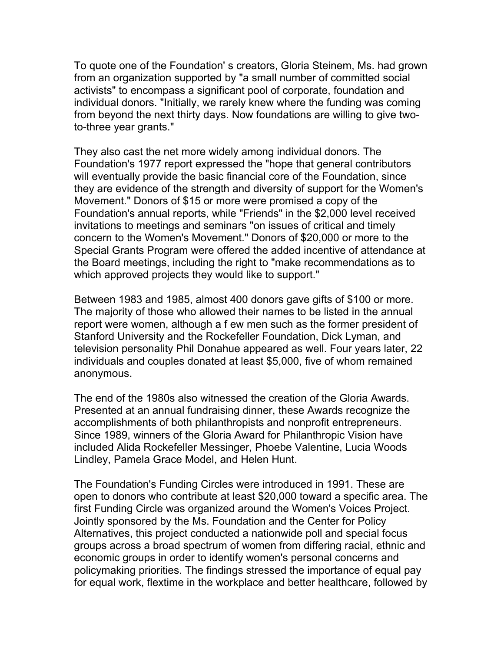To quote one of the Foundation' s creators, Gloria Steinem, Ms. had grown from an organization supported by "a small number of committed social activists" to encompass a significant pool of corporate, foundation and individual donors. "Initially, we rarely knew where the funding was coming from beyond the next thirty days. Now foundations are willing to give twoto-three year grants."

They also cast the net more widely among individual donors. The Foundation's 1977 report expressed the "hope that general contributors will eventually provide the basic financial core of the Foundation, since they are evidence of the strength and diversity of support for the Women's Movement." Donors of \$15 or more were promised a copy of the Foundation's annual reports, while "Friends" in the \$2,000 level received invitations to meetings and seminars "on issues of critical and timely concern to the Women's Movement." Donors of \$20,000 or more to the Special Grants Program were offered the added incentive of attendance at the Board meetings, including the right to "make recommendations as to which approved projects they would like to support."

Between 1983 and 1985, almost 400 donors gave gifts of \$100 or more. The majority of those who allowed their names to be listed in the annual report were women, although a f ew men such as the former president of Stanford University and the Rockefeller Foundation, Dick Lyman, and television personality Phil Donahue appeared as well. Four years later, 22 individuals and couples donated at least \$5,000, five of whom remained anonymous.

The end of the 1980s also witnessed the creation of the Gloria Awards. Presented at an annual fundraising dinner, these Awards recognize the accomplishments of both philanthropists and nonprofit entrepreneurs. Since 1989, winners of the Gloria Award for Philanthropic Vision have included Alida Rockefeller Messinger, Phoebe Valentine, Lucia Woods Lindley, Pamela Grace Model, and Helen Hunt.

The Foundation's Funding Circles were introduced in 1991. These are open to donors who contribute at least \$20,000 toward a specific area. The first Funding Circle was organized around the Women's Voices Project. Jointly sponsored by the Ms. Foundation and the Center for Policy Alternatives, this project conducted a nationwide poll and special focus groups across a broad spectrum of women from differing racial, ethnic and economic groups in order to identify women's personal concerns and policymaking priorities. The findings stressed the importance of equal pay for equal work, flextime in the workplace and better healthcare, followed by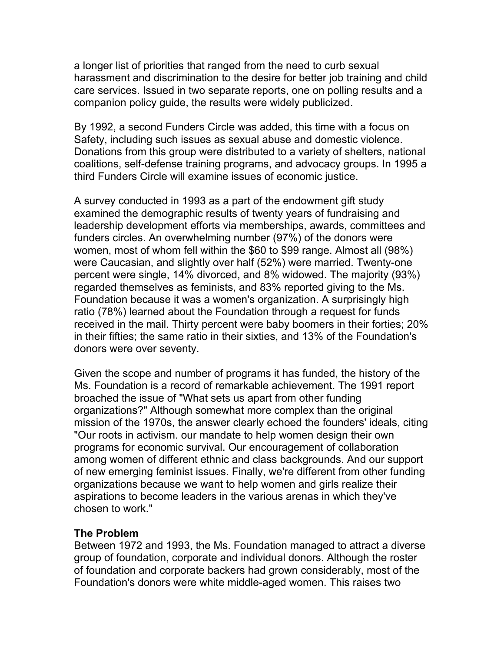a longer list of priorities that ranged from the need to curb sexual harassment and discrimination to the desire for better job training and child care services. Issued in two separate reports, one on polling results and a companion policy guide, the results were widely publicized.

By 1992, a second Funders Circle was added, this time with a focus on Safety, including such issues as sexual abuse and domestic violence. Donations from this group were distributed to a variety of shelters, national coalitions, self-defense training programs, and advocacy groups. In 1995 a third Funders Circle will examine issues of economic justice.

A survey conducted in 1993 as a part of the endowment gift study examined the demographic results of twenty years of fundraising and leadership development efforts via memberships, awards, committees and funders circles. An overwhelming number (97%) of the donors were women, most of whom fell within the \$60 to \$99 range. Almost all (98%) were Caucasian, and slightly over half (52%) were married. Twenty-one percent were single, 14% divorced, and 8% widowed. The majority (93%) regarded themselves as feminists, and 83% reported giving to the Ms. Foundation because it was a women's organization. A surprisingly high ratio (78%) learned about the Foundation through a request for funds received in the mail. Thirty percent were baby boomers in their forties; 20% in their fifties; the same ratio in their sixties, and 13% of the Foundation's donors were over seventy.

Given the scope and number of programs it has funded, the history of the Ms. Foundation is a record of remarkable achievement. The 1991 report broached the issue of "What sets us apart from other funding organizations?" Although somewhat more complex than the original mission of the 1970s, the answer clearly echoed the founders' ideals, citing "Our roots in activism. our mandate to help women design their own programs for economic survival. Our encouragement of collaboration among women of different ethnic and class backgrounds. And our support of new emerging feminist issues. Finally, we're different from other funding organizations because we want to help women and girls realize their aspirations to become leaders in the various arenas in which they've chosen to work."

### **The Problem**

Between 1972 and 1993, the Ms. Foundation managed to attract a diverse group of foundation, corporate and individual donors. Although the roster of foundation and corporate backers had grown considerably, most of the Foundation's donors were white middle-aged women. This raises two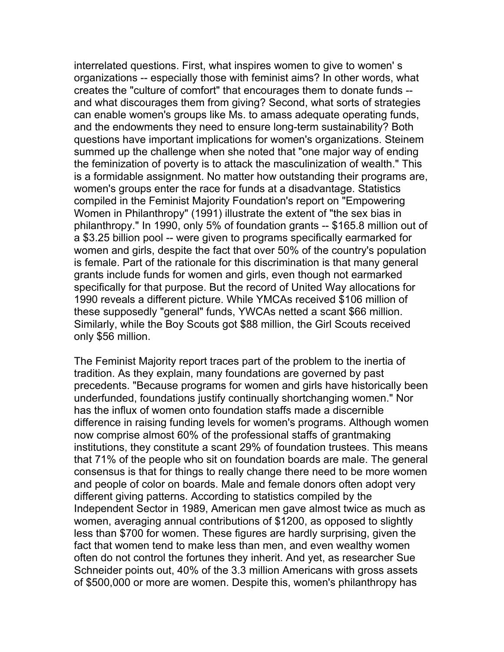interrelated questions. First, what inspires women to give to women' s organizations -- especially those with feminist aims? In other words, what creates the "culture of comfort" that encourages them to donate funds - and what discourages them from giving? Second, what sorts of strategies can enable women's groups like Ms. to amass adequate operating funds, and the endowments they need to ensure long-term sustainability? Both questions have important implications for women's organizations. Steinem summed up the challenge when she noted that "one major way of ending the feminization of poverty is to attack the masculinization of wealth." This is a formidable assignment. No matter how outstanding their programs are, women's groups enter the race for funds at a disadvantage. Statistics compiled in the Feminist Majority Foundation's report on "Empowering Women in Philanthropy" (1991) illustrate the extent of "the sex bias in philanthropy." In 1990, only 5% of foundation grants -- \$165.8 million out of a \$3.25 billion pool -- were given to programs specifically earmarked for women and girls, despite the fact that over 50% of the country's population is female. Part of the rationale for this discrimination is that many general grants include funds for women and girls, even though not earmarked specifically for that purpose. But the record of United Way allocations for 1990 reveals a different picture. While YMCAs received \$106 million of these supposedly "general" funds, YWCAs netted a scant \$66 million. Similarly, while the Boy Scouts got \$88 million, the Girl Scouts received only \$56 million.

The Feminist Majority report traces part of the problem to the inertia of tradition. As they explain, many foundations are governed by past precedents. "Because programs for women and girls have historically been underfunded, foundations justify continually shortchanging women." Nor has the influx of women onto foundation staffs made a discernible difference in raising funding levels for women's programs. Although women now comprise almost 60% of the professional staffs of grantmaking institutions, they constitute a scant 29% of foundation trustees. This means that 71% of the people who sit on foundation boards are male. The general consensus is that for things to really change there need to be more women and people of color on boards. Male and female donors often adopt very different giving patterns. According to statistics compiled by the Independent Sector in 1989, American men gave almost twice as much as women, averaging annual contributions of \$1200, as opposed to slightly less than \$700 for women. These figures are hardly surprising, given the fact that women tend to make less than men, and even wealthy women often do not control the fortunes they inherit. And yet, as researcher Sue Schneider points out, 40% of the 3.3 million Americans with gross assets of \$500,000 or more are women. Despite this, women's philanthropy has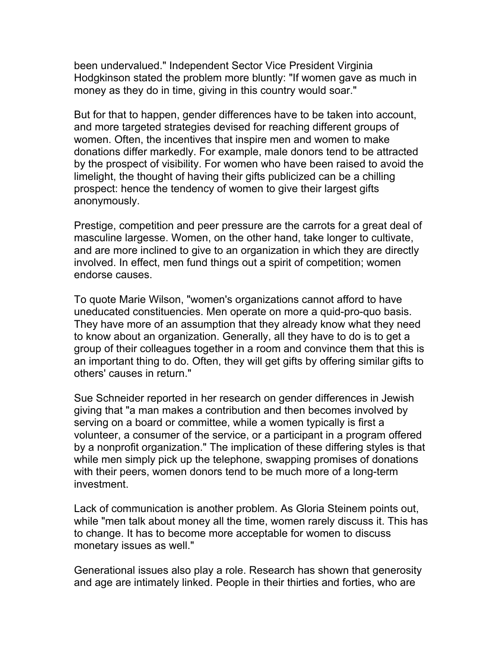been undervalued." Independent Sector Vice President Virginia Hodgkinson stated the problem more bluntly: "If women gave as much in money as they do in time, giving in this country would soar."

But for that to happen, gender differences have to be taken into account, and more targeted strategies devised for reaching different groups of women. Often, the incentives that inspire men and women to make donations differ markedly. For example, male donors tend to be attracted by the prospect of visibility. For women who have been raised to avoid the limelight, the thought of having their gifts publicized can be a chilling prospect: hence the tendency of women to give their largest gifts anonymously.

Prestige, competition and peer pressure are the carrots for a great deal of masculine largesse. Women, on the other hand, take longer to cultivate, and are more inclined to give to an organization in which they are directly involved. In effect, men fund things out a spirit of competition; women endorse causes.

To quote Marie Wilson, "women's organizations cannot afford to have uneducated constituencies. Men operate on more a quid-pro-quo basis. They have more of an assumption that they already know what they need to know about an organization. Generally, all they have to do is to get a group of their colleagues together in a room and convince them that this is an important thing to do. Often, they will get gifts by offering similar gifts to others' causes in return."

Sue Schneider reported in her research on gender differences in Jewish giving that "a man makes a contribution and then becomes involved by serving on a board or committee, while a women typically is first a volunteer, a consumer of the service, or a participant in a program offered by a nonprofit organization." The implication of these differing styles is that while men simply pick up the telephone, swapping promises of donations with their peers, women donors tend to be much more of a long-term investment.

Lack of communication is another problem. As Gloria Steinem points out, while "men talk about money all the time, women rarely discuss it. This has to change. It has to become more acceptable for women to discuss monetary issues as well."

Generational issues also play a role. Research has shown that generosity and age are intimately linked. People in their thirties and forties, who are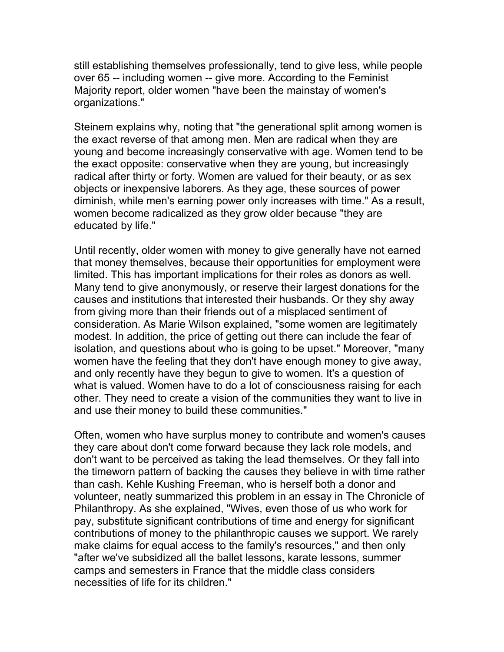still establishing themselves professionally, tend to give less, while people over 65 -- including women -- give more. According to the Feminist Majority report, older women "have been the mainstay of women's organizations."

Steinem explains why, noting that "the generational split among women is the exact reverse of that among men. Men are radical when they are young and become increasingly conservative with age. Women tend to be the exact opposite: conservative when they are young, but increasingly radical after thirty or forty. Women are valued for their beauty, or as sex objects or inexpensive laborers. As they age, these sources of power diminish, while men's earning power only increases with time." As a result, women become radicalized as they grow older because "they are educated by life."

Until recently, older women with money to give generally have not earned that money themselves, because their opportunities for employment were limited. This has important implications for their roles as donors as well. Many tend to give anonymously, or reserve their largest donations for the causes and institutions that interested their husbands. Or they shy away from giving more than their friends out of a misplaced sentiment of consideration. As Marie Wilson explained, "some women are legitimately modest. In addition, the price of getting out there can include the fear of isolation, and questions about who is going to be upset." Moreover, "many women have the feeling that they don't have enough money to give away, and only recently have they begun to give to women. It's a question of what is valued. Women have to do a lot of consciousness raising for each other. They need to create a vision of the communities they want to live in and use their money to build these communities."

Often, women who have surplus money to contribute and women's causes they care about don't come forward because they lack role models, and don't want to be perceived as taking the lead themselves. Or they fall into the timeworn pattern of backing the causes they believe in with time rather than cash. Kehle Kushing Freeman, who is herself both a donor and volunteer, neatly summarized this problem in an essay in The Chronicle of Philanthropy. As she explained, "Wives, even those of us who work for pay, substitute significant contributions of time and energy for significant contributions of money to the philanthropic causes we support. We rarely make claims for equal access to the family's resources," and then only "after we've subsidized all the ballet lessons, karate lessons, summer camps and semesters in France that the middle class considers necessities of life for its children."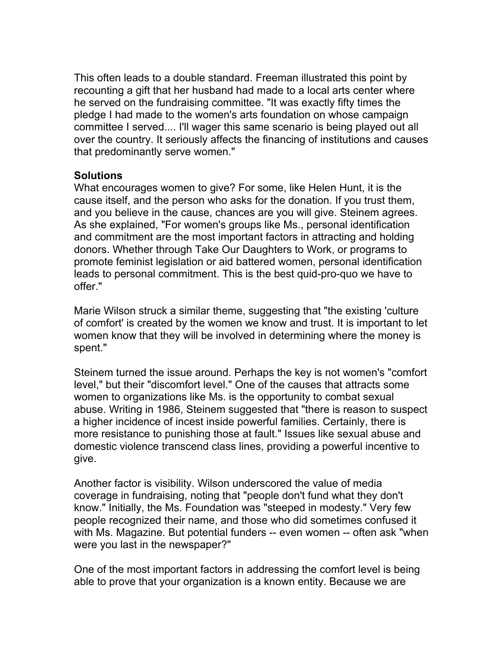This often leads to a double standard. Freeman illustrated this point by recounting a gift that her husband had made to a local arts center where he served on the fundraising committee. "It was exactly fifty times the pledge I had made to the women's arts foundation on whose campaign committee I served.... I'll wager this same scenario is being played out all over the country. It seriously affects the financing of institutions and causes that predominantly serve women."

## **Solutions**

What encourages women to give? For some, like Helen Hunt, it is the cause itself, and the person who asks for the donation. If you trust them, and you believe in the cause, chances are you will give. Steinem agrees. As she explained, "For women's groups like Ms., personal identification and commitment are the most important factors in attracting and holding donors. Whether through Take Our Daughters to Work, or programs to promote feminist legislation or aid battered women, personal identification leads to personal commitment. This is the best quid-pro-quo we have to offer."

Marie Wilson struck a similar theme, suggesting that "the existing 'culture of comfort' is created by the women we know and trust. It is important to let women know that they will be involved in determining where the money is spent."

Steinem turned the issue around. Perhaps the key is not women's "comfort level," but their "discomfort level." One of the causes that attracts some women to organizations like Ms. is the opportunity to combat sexual abuse. Writing in 1986, Steinem suggested that "there is reason to suspect a higher incidence of incest inside powerful families. Certainly, there is more resistance to punishing those at fault." Issues like sexual abuse and domestic violence transcend class lines, providing a powerful incentive to give.

Another factor is visibility. Wilson underscored the value of media coverage in fundraising, noting that "people don't fund what they don't know." Initially, the Ms. Foundation was "steeped in modesty." Very few people recognized their name, and those who did sometimes confused it with Ms. Magazine. But potential funders -- even women -- often ask "when were you last in the newspaper?"

One of the most important factors in addressing the comfort level is being able to prove that your organization is a known entity. Because we are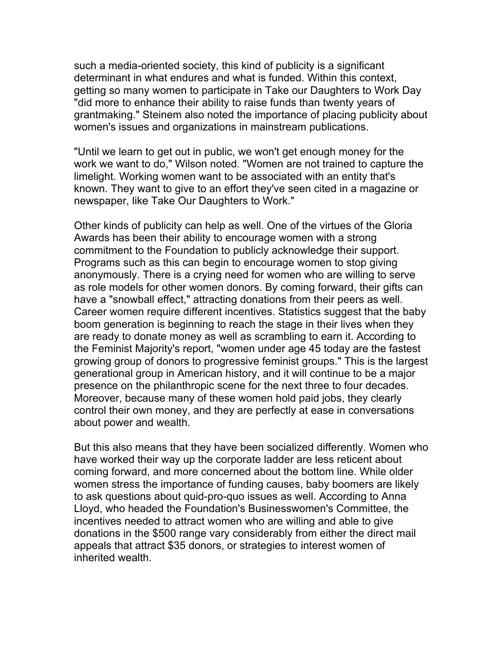such a media-oriented society, this kind of publicity is a significant determinant in what endures and what is funded. Within this context, getting so many women to participate in Take our Daughters to Work Day "did more to enhance their ability to raise funds than twenty years of grantmaking." Steinem also noted the importance of placing publicity about women's issues and organizations in mainstream publications.

"Until we learn to get out in public, we won't get enough money for the work we want to do," Wilson noted. "Women are not trained to capture the limelight. Working women want to be associated with an entity that's known. They want to give to an effort they've seen cited in a magazine or newspaper, like Take Our Daughters to Work."

Other kinds of publicity can help as well. One of the virtues of the Gloria Awards has been their ability to encourage women with a strong commitment to the Foundation to publicly acknowledge their support. Programs such as this can begin to encourage women to stop giving anonymously. There is a crying need for women who are willing to serve as role models for other women donors. By coming forward, their gifts can have a "snowball effect," attracting donations from their peers as well. Career women require different incentives. Statistics suggest that the baby boom generation is beginning to reach the stage in their lives when they are ready to donate money as well as scrambling to earn it. According to the Feminist Majority's report, "women under age 45 today are the fastest growing group of donors to progressive feminist groups." This is the largest generational group in American history, and it will continue to be a major presence on the philanthropic scene for the next three to four decades. Moreover, because many of these women hold paid jobs, they clearly control their own money, and they are perfectly at ease in conversations about power and wealth.

But this also means that they have been socialized differently. Women who have worked their way up the corporate ladder are less reticent about coming forward, and more concerned about the bottom line. While older women stress the importance of funding causes, baby boomers are likely to ask questions about quid-pro-quo issues as well. According to Anna Lloyd, who headed the Foundation's Businesswomen's Committee, the incentives needed to attract women who are willing and able to give donations in the \$500 range vary considerably from either the direct mail appeals that attract \$35 donors, or strategies to interest women of inherited wealth.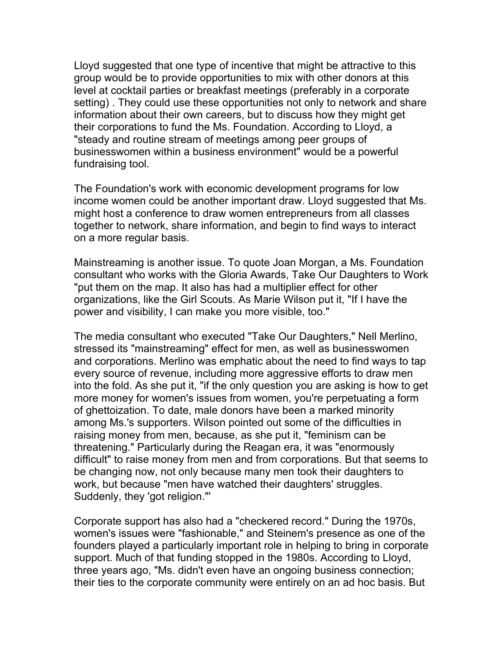Lloyd suggested that one type of incentive that might be attractive to this group would be to provide opportunities to mix with other donors at this level at cocktail parties or breakfast meetings (preferably in a corporate setting) . They could use these opportunities not only to network and share information about their own careers, but to discuss how they might get their corporations to fund the Ms. Foundation. According to Lloyd, a "steady and routine stream of meetings among peer groups of businesswomen within a business environment" would be a powerful fundraising tool.

The Foundation's work with economic development programs for low income women could be another important draw. Lloyd suggested that Ms. might host a conference to draw women entrepreneurs from all classes together to network, share information, and begin to find ways to interact on a more regular basis.

Mainstreaming is another issue. To quote Joan Morgan, a Ms. Foundation consultant who works with the Gloria Awards, Take Our Daughters to Work "put them on the map. It also has had a multiplier effect for other organizations, like the Girl Scouts. As Marie Wilson put it, "If I have the power and visibility, I can make you more visible, too."

The media consultant who executed "Take Our Daughters," Nell Merlino, stressed its "mainstreaming" effect for men, as well as businesswomen and corporations. Merlino was emphatic about the need to find ways to tap every source of revenue, including more aggressive efforts to draw men into the fold. As she put it, "if the only question you are asking is how to get more money for women's issues from women, you're perpetuating a form of ghettoization. To date, male donors have been a marked minority among Ms.'s supporters. Wilson pointed out some of the difficulties in raising money from men, because, as she put it, "feminism can be threatening." Particularly during the Reagan era, it was "enormously difficult" to raise money from men and from corporations. But that seems to be changing now, not only because many men took their daughters to work, but because "men have watched their daughters' struggles. Suddenly, they 'got religion."'

Corporate support has also had a "checkered record." During the 1970s, women's issues were "fashionable," and Steinem's presence as one of the founders played a particularly important role in helping to bring in corporate support. Much of that funding stopped in the 1980s. According to Lloyd, three years ago, "Ms. didn't even have an ongoing business connection; their ties to the corporate community were entirely on an ad hoc basis. But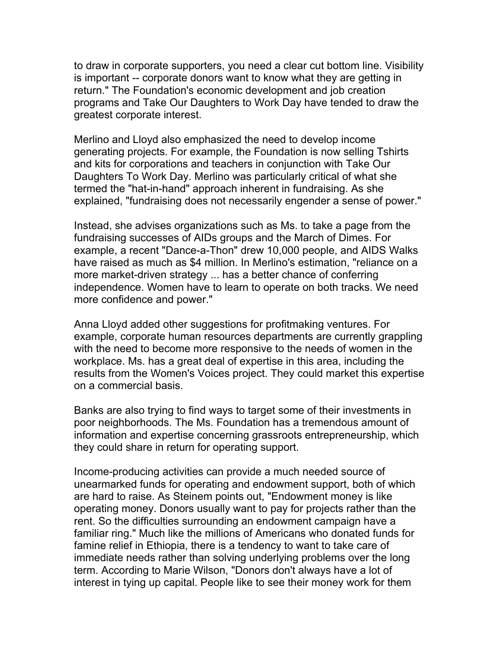to draw in corporate supporters, you need a clear cut bottom line. Visibility is important -- corporate donors want to know what they are getting in return." The Foundation's economic development and job creation programs and Take Our Daughters to Work Day have tended to draw the greatest corporate interest.

Merlino and Lloyd also emphasized the need to develop income generating projects. For example, the Foundation is now selling Tshirts and kits for corporations and teachers in conjunction with Take Our Daughters To Work Day. Merlino was particularly critical of what she termed the "hat-in-hand" approach inherent in fundraising. As she explained, "fundraising does not necessarily engender a sense of power."

Instead, she advises organizations such as Ms. to take a page from the fundraising successes of AIDs groups and the March of Dimes. For example, a recent "Dance-a-Thon" drew 10,000 people, and AIDS Walks have raised as much as \$4 million. In Merlino's estimation, "reliance on a more market-driven strategy ... has a better chance of conferring independence. Women have to learn to operate on both tracks. We need more confidence and power."

Anna Lloyd added other suggestions for profitmaking ventures. For example, corporate human resources departments are currently grappling with the need to become more responsive to the needs of women in the workplace. Ms. has a great deal of expertise in this area, including the results from the Women's Voices project. They could market this expertise on a commercial basis.

Banks are also trying to find ways to target some of their investments in poor neighborhoods. The Ms. Foundation has a tremendous amount of information and expertise concerning grassroots entrepreneurship, which they could share in return for operating support.

Income-producing activities can provide a much needed source of unearmarked funds for operating and endowment support, both of which are hard to raise. As Steinem points out, "Endowment money is like operating money. Donors usually want to pay for projects rather than the rent. So the difficulties surrounding an endowment campaign have a familiar ring." Much like the millions of Americans who donated funds for famine relief in Ethiopia, there is a tendency to want to take care of immediate needs rather than solving underlying problems over the long term. According to Marie Wilson, "Donors don't always have a lot of interest in tying up capital. People like to see their money work for them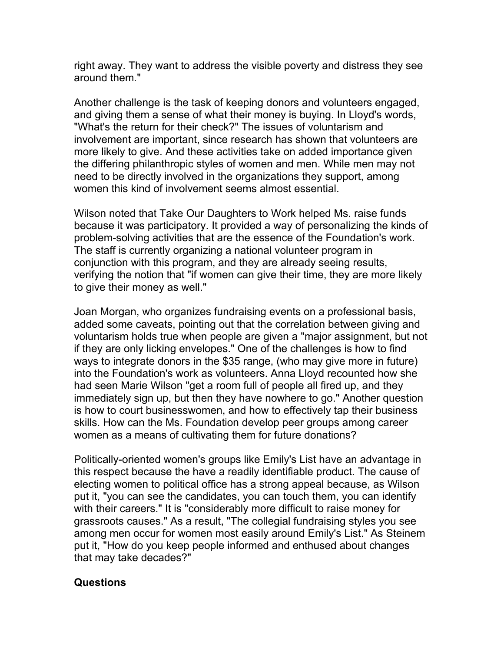right away. They want to address the visible poverty and distress they see around them."

Another challenge is the task of keeping donors and volunteers engaged, and giving them a sense of what their money is buying. In Lloyd's words, "What's the return for their check?" The issues of voluntarism and involvement are important, since research has shown that volunteers are more likely to give. And these activities take on added importance given the differing philanthropic styles of women and men. While men may not need to be directly involved in the organizations they support, among women this kind of involvement seems almost essential.

Wilson noted that Take Our Daughters to Work helped Ms. raise funds because it was participatory. It provided a way of personalizing the kinds of problem-solving activities that are the essence of the Foundation's work. The staff is currently organizing a national volunteer program in conjunction with this program, and they are already seeing results, verifying the notion that "if women can give their time, they are more likely to give their money as well."

Joan Morgan, who organizes fundraising events on a professional basis, added some caveats, pointing out that the correlation between giving and voluntarism holds true when people are given a "major assignment, but not if they are only licking envelopes." One of the challenges is how to find ways to integrate donors in the \$35 range, (who may give more in future) into the Foundation's work as volunteers. Anna Lloyd recounted how she had seen Marie Wilson "get a room full of people all fired up, and they immediately sign up, but then they have nowhere to go." Another question is how to court businesswomen, and how to effectively tap their business skills. How can the Ms. Foundation develop peer groups among career women as a means of cultivating them for future donations?

Politically-oriented women's groups like Emily's List have an advantage in this respect because the have a readily identifiable product. The cause of electing women to political office has a strong appeal because, as Wilson put it, "you can see the candidates, you can touch them, you can identify with their careers." It is "considerably more difficult to raise money for grassroots causes." As a result, "The collegial fundraising styles you see among men occur for women most easily around Emily's List." As Steinem put it, "How do you keep people informed and enthused about changes that may take decades?"

### **Questions**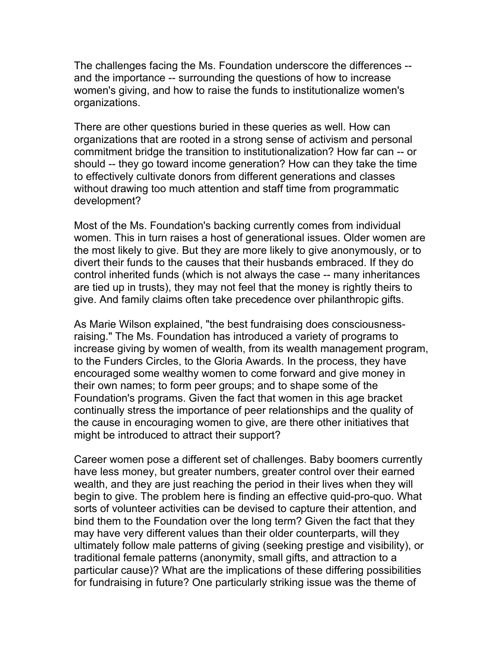The challenges facing the Ms. Foundation underscore the differences - and the importance -- surrounding the questions of how to increase women's giving, and how to raise the funds to institutionalize women's organizations.

There are other questions buried in these queries as well. How can organizations that are rooted in a strong sense of activism and personal commitment bridge the transition to institutionalization? How far can -- or should -- they go toward income generation? How can they take the time to effectively cultivate donors from different generations and classes without drawing too much attention and staff time from programmatic development?

Most of the Ms. Foundation's backing currently comes from individual women. This in turn raises a host of generational issues. Older women are the most likely to give. But they are more likely to give anonymously, or to divert their funds to the causes that their husbands embraced. If they do control inherited funds (which is not always the case -- many inheritances are tied up in trusts), they may not feel that the money is rightly theirs to give. And family claims often take precedence over philanthropic gifts.

As Marie Wilson explained, "the best fundraising does consciousnessraising." The Ms. Foundation has introduced a variety of programs to increase giving by women of wealth, from its wealth management program, to the Funders Circles, to the Gloria Awards. In the process, they have encouraged some wealthy women to come forward and give money in their own names; to form peer groups; and to shape some of the Foundation's programs. Given the fact that women in this age bracket continually stress the importance of peer relationships and the quality of the cause in encouraging women to give, are there other initiatives that might be introduced to attract their support?

Career women pose a different set of challenges. Baby boomers currently have less money, but greater numbers, greater control over their earned wealth, and they are just reaching the period in their lives when they will begin to give. The problem here is finding an effective quid-pro-quo. What sorts of volunteer activities can be devised to capture their attention, and bind them to the Foundation over the long term? Given the fact that they may have very different values than their older counterparts, will they ultimately follow male patterns of giving (seeking prestige and visibility), or traditional female patterns (anonymity, small gifts, and attraction to a particular cause)? What are the implications of these differing possibilities for fundraising in future? One particularly striking issue was the theme of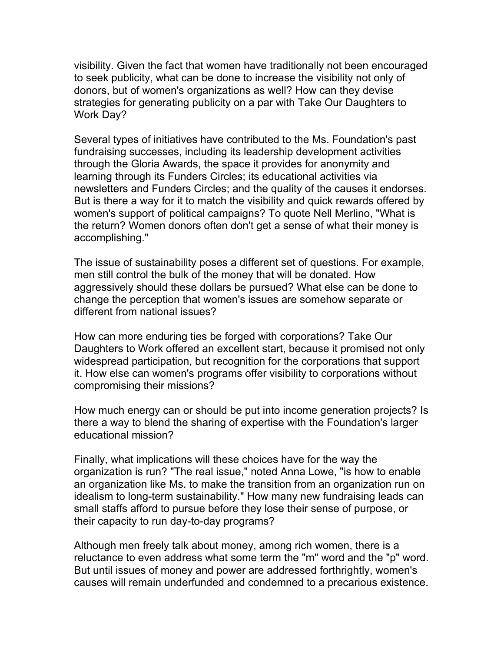visibility. Given the fact that women have traditionally not been encouraged to seek publicity, what can be done to increase the visibility not only of donors, but of women's organizations as well? How can they devise strategies for generating publicity on a par with Take Our Daughters to Work Day?

Several types of initiatives have contributed to the Ms. Foundation's past fundraising successes, including its leadership development activities through the Gloria Awards, the space it provides for anonymity and learning through its Funders Circles; its educational activities via newsletters and Funders Circles; and the quality of the causes it endorses. But is there a way for it to match the visibility and quick rewards offered by women's support of political campaigns? To quote Nell Merlino, "What is the return? Women donors often don't get a sense of what their money is accomplishing."

The issue of sustainability poses a different set of questions. For example, men still control the bulk of the money that will be donated. How aggressively should these dollars be pursued? What else can be done to change the perception that women's issues are somehow separate or different from national issues?

How can more enduring ties be forged with corporations? Take Our Daughters to Work offered an excellent start, because it promised not only widespread participation, but recognition for the corporations that support it. How else can women's programs offer visibility to corporations without compromising their missions?

How much energy can or should be put into income generation projects? Is there a way to blend the sharing of expertise with the Foundation's larger educational mission?

Finally, what implications will these choices have for the way the organization is run? "The real issue," noted Anna Lowe, "is how to enable an organization like Ms. to make the transition from an organization run on idealism to long-term sustainability." How many new fundraising leads can small staffs afford to pursue before they lose their sense of purpose, or their capacity to run day-to-day programs?

Although men freely talk about money, among rich women, there is a reluctance to even address what some term the "m" word and the "p" word. But until issues of money and power are addressed forthrightly, women's causes will remain underfunded and condemned to a precarious existence.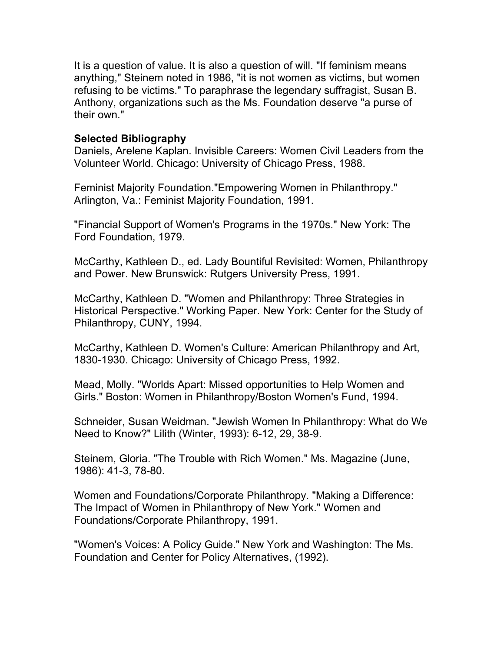It is a question of value. It is also a question of will. "If feminism means anything," Steinem noted in 1986, "it is not women as victims, but women refusing to be victims." To paraphrase the legendary suffragist, Susan B. Anthony, organizations such as the Ms. Foundation deserve "a purse of their own."

#### **Selected Bibliography**

Daniels, Arelene Kaplan. Invisible Careers: Women Civil Leaders from the Volunteer World. Chicago: University of Chicago Press, 1988.

Feminist Majority Foundation."Empowering Women in Philanthropy." Arlington, Va.: Feminist Majority Foundation, 1991.

"Financial Support of Women's Programs in the 1970s." New York: The Ford Foundation, 1979.

McCarthy, Kathleen D., ed. Lady Bountiful Revisited: Women, Philanthropy and Power. New Brunswick: Rutgers University Press, 1991.

McCarthy, Kathleen D. "Women and Philanthropy: Three Strategies in Historical Perspective." Working Paper. New York: Center for the Study of Philanthropy, CUNY, 1994.

McCarthy, Kathleen D. Women's Culture: American Philanthropy and Art, 1830-1930. Chicago: University of Chicago Press, 1992.

Mead, Molly. "Worlds Apart: Missed opportunities to Help Women and Girls." Boston: Women in Philanthropy/Boston Women's Fund, 1994.

Schneider, Susan Weidman. "Jewish Women In Philanthropy: What do We Need to Know?" Lilith (Winter, 1993): 6-12, 29, 38-9.

Steinem, Gloria. "The Trouble with Rich Women." Ms. Magazine (June, 1986): 41-3, 78-80.

Women and Foundations/Corporate Philanthropy. "Making a Difference: The Impact of Women in Philanthropy of New York." Women and Foundations/Corporate Philanthropy, 1991.

"Women's Voices: A Policy Guide." New York and Washington: The Ms. Foundation and Center for Policy Alternatives, (1992).